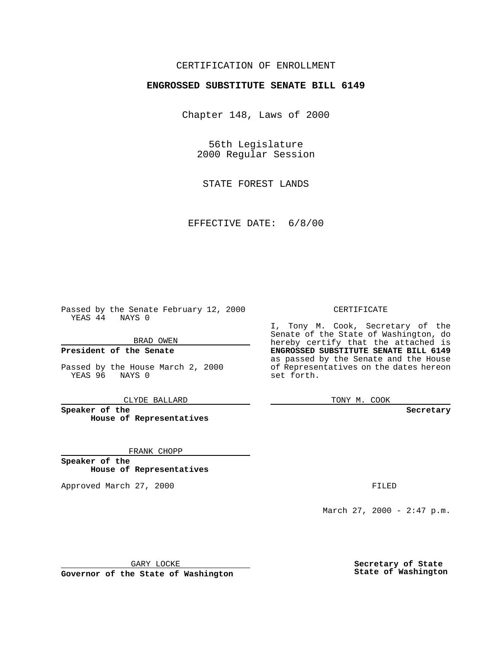### CERTIFICATION OF ENROLLMENT

# **ENGROSSED SUBSTITUTE SENATE BILL 6149**

Chapter 148, Laws of 2000

56th Legislature 2000 Regular Session

STATE FOREST LANDS

EFFECTIVE DATE: 6/8/00

Passed by the Senate February 12, 2000 YEAS 44 NAYS 0

BRAD OWEN

**President of the Senate**

Passed by the House March 2, 2000 YEAS 96 NAYS 0

CLYDE BALLARD

**Speaker of the House of Representatives**

FRANK CHOPP

**Speaker of the House of Representatives**

Approved March 27, 2000 FILED

#### CERTIFICATE

I, Tony M. Cook, Secretary of the Senate of the State of Washington, do hereby certify that the attached is **ENGROSSED SUBSTITUTE SENATE BILL 6149** as passed by the Senate and the House of Representatives on the dates hereon set forth.

TONY M. COOK

**Secretary**

March 27, 2000 - 2:47 p.m.

GARY LOCKE

**Governor of the State of Washington**

**Secretary of State State of Washington**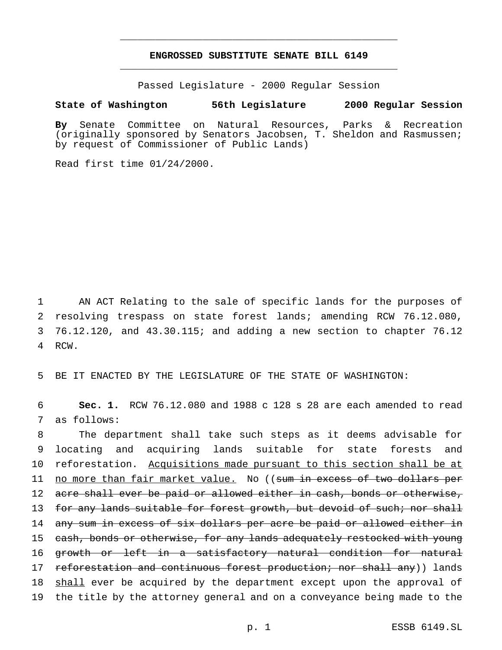## **ENGROSSED SUBSTITUTE SENATE BILL 6149** \_\_\_\_\_\_\_\_\_\_\_\_\_\_\_\_\_\_\_\_\_\_\_\_\_\_\_\_\_\_\_\_\_\_\_\_\_\_\_\_\_\_\_\_\_\_\_

\_\_\_\_\_\_\_\_\_\_\_\_\_\_\_\_\_\_\_\_\_\_\_\_\_\_\_\_\_\_\_\_\_\_\_\_\_\_\_\_\_\_\_\_\_\_\_

Passed Legislature - 2000 Regular Session

#### **State of Washington 56th Legislature 2000 Regular Session**

**By** Senate Committee on Natural Resources, Parks & Recreation (originally sponsored by Senators Jacobsen, T. Sheldon and Rasmussen; by request of Commissioner of Public Lands)

Read first time 01/24/2000.

 AN ACT Relating to the sale of specific lands for the purposes of resolving trespass on state forest lands; amending RCW 76.12.080, 76.12.120, and 43.30.115; and adding a new section to chapter 76.12 4 RCW.

5 BE IT ENACTED BY THE LEGISLATURE OF THE STATE OF WASHINGTON:

6 **Sec. 1.** RCW 76.12.080 and 1988 c 128 s 28 are each amended to read 7 as follows:

8 The department shall take such steps as it deems advisable for 9 locating and acquiring lands suitable for state forests and 10 reforestation. Acquisitions made pursuant to this section shall be at 11 no more than fair market value. No ((sum in excess of two dollars per 12 acre shall ever be paid or allowed either in cash, bonds or otherwise, 13 for any lands suitable for forest growth, but devoid of such; nor shall 14 any sum in excess of six dollars per acre be paid or allowed either in 15 cash, bonds or otherwise, for any lands adequately restocked with young 16 growth or left in a satisfactory natural condition for natural 17 reforestation and continuous forest production; nor shall any)) lands 18 shall ever be acquired by the department except upon the approval of 19 the title by the attorney general and on a conveyance being made to the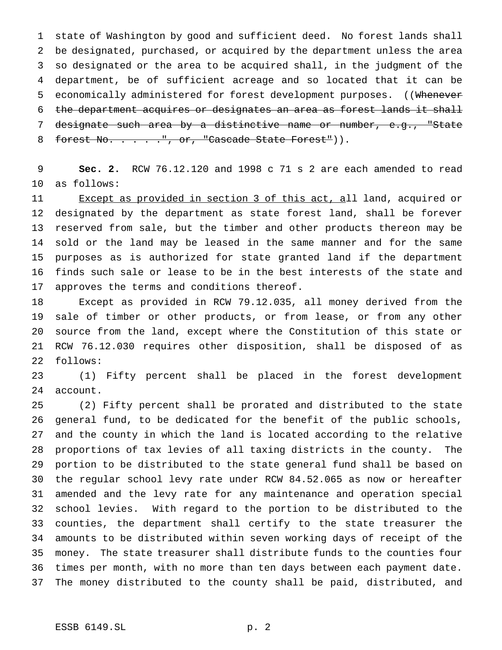state of Washington by good and sufficient deed. No forest lands shall be designated, purchased, or acquired by the department unless the area so designated or the area to be acquired shall, in the judgment of the department, be of sufficient acreage and so located that it can be 5 economically administered for forest development purposes. ((Whenever 6 the department acquires or designates an area as forest lands it shall designate such area by a distinctive name or number, e.g., "State 8 forest No. . . . . ", or, "Cascade State Forest")).

 **Sec. 2.** RCW 76.12.120 and 1998 c 71 s 2 are each amended to read as follows:

 Except as provided in section 3 of this act, all land, acquired or designated by the department as state forest land, shall be forever reserved from sale, but the timber and other products thereon may be sold or the land may be leased in the same manner and for the same purposes as is authorized for state granted land if the department finds such sale or lease to be in the best interests of the state and approves the terms and conditions thereof.

 Except as provided in RCW 79.12.035, all money derived from the sale of timber or other products, or from lease, or from any other source from the land, except where the Constitution of this state or RCW 76.12.030 requires other disposition, shall be disposed of as follows:

 (1) Fifty percent shall be placed in the forest development account.

 (2) Fifty percent shall be prorated and distributed to the state general fund, to be dedicated for the benefit of the public schools, and the county in which the land is located according to the relative proportions of tax levies of all taxing districts in the county. The portion to be distributed to the state general fund shall be based on the regular school levy rate under RCW 84.52.065 as now or hereafter amended and the levy rate for any maintenance and operation special school levies. With regard to the portion to be distributed to the counties, the department shall certify to the state treasurer the amounts to be distributed within seven working days of receipt of the money. The state treasurer shall distribute funds to the counties four times per month, with no more than ten days between each payment date. The money distributed to the county shall be paid, distributed, and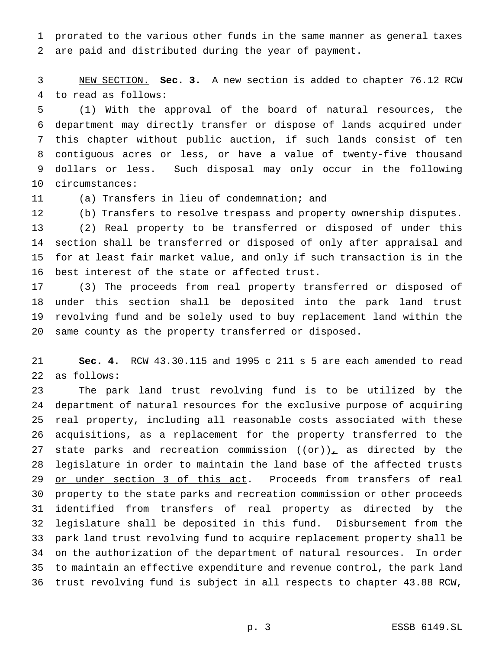prorated to the various other funds in the same manner as general taxes are paid and distributed during the year of payment.

 NEW SECTION. **Sec. 3.** A new section is added to chapter 76.12 RCW to read as follows:

 (1) With the approval of the board of natural resources, the department may directly transfer or dispose of lands acquired under this chapter without public auction, if such lands consist of ten contiguous acres or less, or have a value of twenty-five thousand dollars or less. Such disposal may only occur in the following circumstances:

(a) Transfers in lieu of condemnation; and

 (b) Transfers to resolve trespass and property ownership disputes. (2) Real property to be transferred or disposed of under this section shall be transferred or disposed of only after appraisal and for at least fair market value, and only if such transaction is in the best interest of the state or affected trust.

 (3) The proceeds from real property transferred or disposed of under this section shall be deposited into the park land trust revolving fund and be solely used to buy replacement land within the same county as the property transferred or disposed.

 **Sec. 4.** RCW 43.30.115 and 1995 c 211 s 5 are each amended to read as follows:

 The park land trust revolving fund is to be utilized by the department of natural resources for the exclusive purpose of acquiring real property, including all reasonable costs associated with these acquisitions, as a replacement for the property transferred to the 27 state parks and recreation commission  $((\theta \hat{r}))$ <sub>r</sub> as directed by the legislature in order to maintain the land base of the affected trusts 29 or under section 3 of this act. Proceeds from transfers of real property to the state parks and recreation commission or other proceeds identified from transfers of real property as directed by the legislature shall be deposited in this fund. Disbursement from the park land trust revolving fund to acquire replacement property shall be on the authorization of the department of natural resources. In order to maintain an effective expenditure and revenue control, the park land trust revolving fund is subject in all respects to chapter 43.88 RCW,